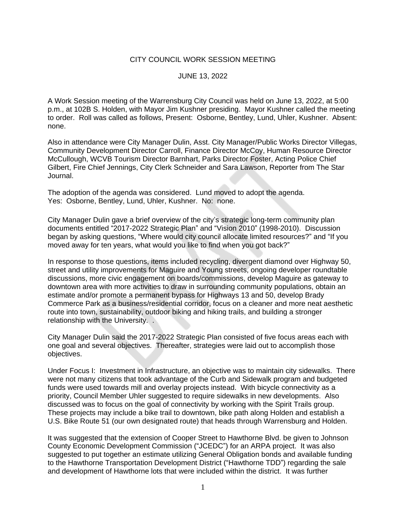## CITY COUNCIL WORK SESSION MEETING

## JUNE 13, 2022

A Work Session meeting of the Warrensburg City Council was held on June 13, 2022, at 5:00 p.m., at 102B S. Holden, with Mayor Jim Kushner presiding. Mayor Kushner called the meeting to order. Roll was called as follows, Present: Osborne, Bentley, Lund, Uhler, Kushner. Absent: none.

Also in attendance were City Manager Dulin, Asst. City Manager/Public Works Director Villegas, Community Development Director Carroll, Finance Director McCoy, Human Resource Director McCullough, WCVB Tourism Director Barnhart, Parks Director Foster, Acting Police Chief Gilbert, Fire Chief Jennings, City Clerk Schneider and Sara Lawson, Reporter from The Star Journal.

The adoption of the agenda was considered. Lund moved to adopt the agenda. Yes: Osborne, Bentley, Lund, Uhler, Kushner. No: none.

City Manager Dulin gave a brief overview of the city's strategic long-term community plan documents entitled "2017-2022 Strategic Plan" and "Vision 2010" (1998-2010). Discussion began by asking questions, "Where would city council allocate limited resources?" and "If you moved away for ten years, what would you like to find when you got back?"

In response to those questions, items included recycling, divergent diamond over Highway 50, street and utility improvements for Maguire and Young streets, ongoing developer roundtable discussions, more civic engagement on boards/commissions, develop Maguire as gateway to downtown area with more activities to draw in surrounding community populations, obtain an estimate and/or promote a permanent bypass for Highways 13 and 50, develop Brady Commerce Park as a business/residential corridor, focus on a cleaner and more neat aesthetic route into town, sustainability, outdoor biking and hiking trails, and building a stronger relationship with the University. .

City Manager Dulin said the 2017-2022 Strategic Plan consisted of five focus areas each with one goal and several objectives. Thereafter, strategies were laid out to accomplish those objectives.

Under Focus I: Investment in Infrastructure, an objective was to maintain city sidewalks. There were not many citizens that took advantage of the Curb and Sidewalk program and budgeted funds were used towards mill and overlay projects instead. With bicycle connectivity as a priority, Council Member Uhler suggested to require sidewalks in new developments. Also discussed was to focus on the goal of connectivity by working with the Spirit Trails group. These projects may include a bike trail to downtown, bike path along Holden and establish a U.S. Bike Route 51 (our own designated route) that heads through Warrensburg and Holden.

It was suggested that the extension of Cooper Street to Hawthorne Blvd. be given to Johnson County Economic Development Commission ("JCEDC") for an ARPA project. It was also suggested to put together an estimate utilizing General Obligation bonds and available funding to the Hawthorne Transportation Development District ("Hawthorne TDD") regarding the sale and development of Hawthorne lots that were included within the district. It was further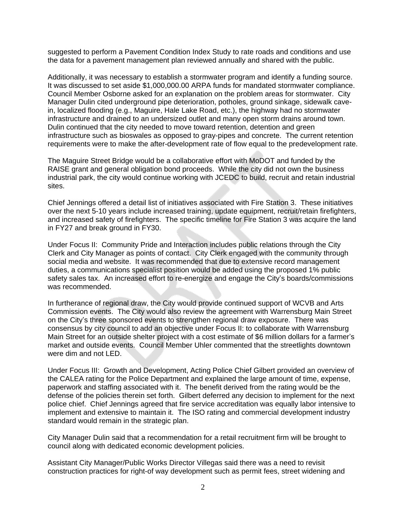suggested to perform a Pavement Condition Index Study to rate roads and conditions and use the data for a pavement management plan reviewed annually and shared with the public.

Additionally, it was necessary to establish a stormwater program and identify a funding source. It was discussed to set aside \$1,000,000.00 ARPA funds for mandated stormwater compliance. Council Member Osborne asked for an explanation on the problem areas for stormwater. City Manager Dulin cited underground pipe deterioration, potholes, ground sinkage, sidewalk cavein, localized flooding (e.g., Maguire, Hale Lake Road, etc.), the highway had no stormwater infrastructure and drained to an undersized outlet and many open storm drains around town. Dulin continued that the city needed to move toward retention, detention and green infrastructure such as bioswales as opposed to gray-pipes and concrete. The current retention requirements were to make the after-development rate of flow equal to the predevelopment rate.

The Maguire Street Bridge would be a collaborative effort with MoDOT and funded by the RAISE grant and general obligation bond proceeds. While the city did not own the business industrial park, the city would continue working with JCEDC to build, recruit and retain industrial sites.

Chief Jennings offered a detail list of initiatives associated with Fire Station 3. These initiatives over the next 5-10 years include increased training, update equipment, recruit/retain firefighters, and increased safety of firefighters. The specific timeline for Fire Station 3 was acquire the land in FY27 and break ground in FY30.

Under Focus II: Community Pride and Interaction includes public relations through the City Clerk and City Manager as points of contact. City Clerk engaged with the community through social media and website. It was recommended that due to extensive record management duties, a communications specialist position would be added using the proposed 1% public safety sales tax. An increased effort to re-energize and engage the City's boards/commissions was recommended.

In furtherance of regional draw, the City would provide continued support of WCVB and Arts Commission events. The City would also review the agreement with Warrensburg Main Street on the City's three sponsored events to strengthen regional draw exposure. There was consensus by city council to add an objective under Focus II: to collaborate with Warrensburg Main Street for an outside shelter project with a cost estimate of \$6 million dollars for a farmer's market and outside events. Council Member Uhler commented that the streetlights downtown were dim and not LED.

Under Focus III: Growth and Development, Acting Police Chief Gilbert provided an overview of the CALEA rating for the Police Department and explained the large amount of time, expense, paperwork and staffing associated with it. The benefit derived from the rating would be the defense of the policies therein set forth. Gilbert deferred any decision to implement for the next police chief. Chief Jennings agreed that fire service accreditation was equally labor intensive to implement and extensive to maintain it. The ISO rating and commercial development industry standard would remain in the strategic plan.

City Manager Dulin said that a recommendation for a retail recruitment firm will be brought to council along with dedicated economic development policies.

Assistant City Manager/Public Works Director Villegas said there was a need to revisit construction practices for right-of way development such as permit fees, street widening and